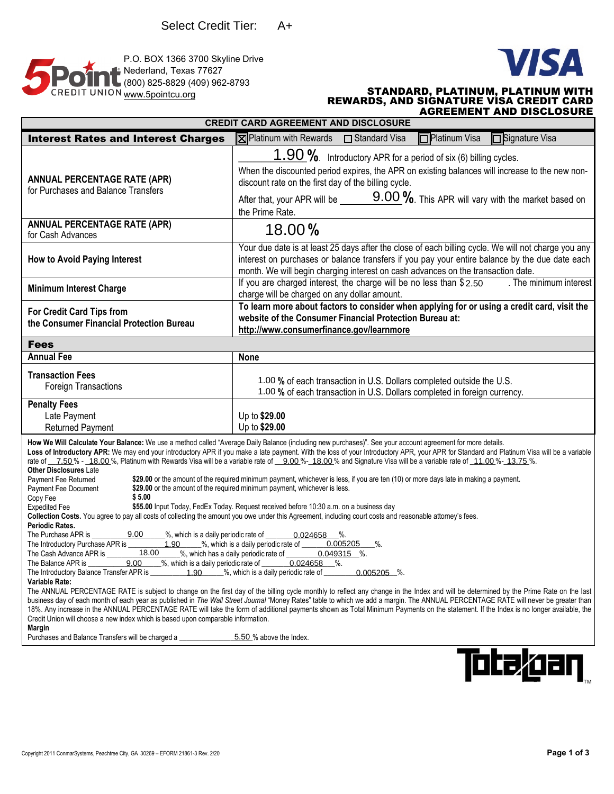



## www.5pointcu.org **STANDARD, PLATINUM, PLATINUM WITH**<br>REWARDS, AND SIGNATURE VISA CREDIT CARD AGREEMENT AND DISCLOSURE

| <b>CREDIT CARD AGREEMENT AND DISCLOSURE</b>                                                                                                                                                                                                                                                                                                                                                                                                                                                                                                                                                                                                                                                                                                                                                                                                                                                                                                                                                                                                                                                                                                                                                                                                                                                                                                                                                                                                                                                                                                                                                                                                                                                                                                                                                                                                                                                                                                                                                                                                                                                                                                                                                                                                                                                              |                                                                                                                                                                                                                                                                                                                                                |
|----------------------------------------------------------------------------------------------------------------------------------------------------------------------------------------------------------------------------------------------------------------------------------------------------------------------------------------------------------------------------------------------------------------------------------------------------------------------------------------------------------------------------------------------------------------------------------------------------------------------------------------------------------------------------------------------------------------------------------------------------------------------------------------------------------------------------------------------------------------------------------------------------------------------------------------------------------------------------------------------------------------------------------------------------------------------------------------------------------------------------------------------------------------------------------------------------------------------------------------------------------------------------------------------------------------------------------------------------------------------------------------------------------------------------------------------------------------------------------------------------------------------------------------------------------------------------------------------------------------------------------------------------------------------------------------------------------------------------------------------------------------------------------------------------------------------------------------------------------------------------------------------------------------------------------------------------------------------------------------------------------------------------------------------------------------------------------------------------------------------------------------------------------------------------------------------------------------------------------------------------------------------------------------------------------|------------------------------------------------------------------------------------------------------------------------------------------------------------------------------------------------------------------------------------------------------------------------------------------------------------------------------------------------|
| <b>Interest Rates and Interest Charges</b>                                                                                                                                                                                                                                                                                                                                                                                                                                                                                                                                                                                                                                                                                                                                                                                                                                                                                                                                                                                                                                                                                                                                                                                                                                                                                                                                                                                                                                                                                                                                                                                                                                                                                                                                                                                                                                                                                                                                                                                                                                                                                                                                                                                                                                                               | <b>X</b> Platinum with Rewards □ Standard Visa<br>□Platinum Visa<br><b>Signature Visa</b>                                                                                                                                                                                                                                                      |
| <b>ANNUAL PERCENTAGE RATE (APR)</b><br>for Purchases and Balance Transfers                                                                                                                                                                                                                                                                                                                                                                                                                                                                                                                                                                                                                                                                                                                                                                                                                                                                                                                                                                                                                                                                                                                                                                                                                                                                                                                                                                                                                                                                                                                                                                                                                                                                                                                                                                                                                                                                                                                                                                                                                                                                                                                                                                                                                               | 1.90 %. Introductory APR for a period of six (6) billing cycles.<br>When the discounted period expires, the APR on existing balances will increase to the new non-<br>discount rate on the first day of the billing cycle.<br>After that, your APR will be $\frac{9.00\%}{0}$ . This APR will vary with the market based on<br>the Prime Rate. |
| <b>ANNUAL PERCENTAGE RATE (APR)</b><br>for Cash Advances                                                                                                                                                                                                                                                                                                                                                                                                                                                                                                                                                                                                                                                                                                                                                                                                                                                                                                                                                                                                                                                                                                                                                                                                                                                                                                                                                                                                                                                                                                                                                                                                                                                                                                                                                                                                                                                                                                                                                                                                                                                                                                                                                                                                                                                 | 18.00%                                                                                                                                                                                                                                                                                                                                         |
| <b>How to Avoid Paying Interest</b>                                                                                                                                                                                                                                                                                                                                                                                                                                                                                                                                                                                                                                                                                                                                                                                                                                                                                                                                                                                                                                                                                                                                                                                                                                                                                                                                                                                                                                                                                                                                                                                                                                                                                                                                                                                                                                                                                                                                                                                                                                                                                                                                                                                                                                                                      | Your due date is at least 25 days after the close of each billing cycle. We will not charge you any<br>interest on purchases or balance transfers if you pay your entire balance by the due date each<br>month. We will begin charging interest on cash advances on the transaction date.                                                      |
| <b>Minimum Interest Charge</b>                                                                                                                                                                                                                                                                                                                                                                                                                                                                                                                                                                                                                                                                                                                                                                                                                                                                                                                                                                                                                                                                                                                                                                                                                                                                                                                                                                                                                                                                                                                                                                                                                                                                                                                                                                                                                                                                                                                                                                                                                                                                                                                                                                                                                                                                           | If you are charged interest, the charge will be no less than \$2.50<br>. The minimum interest<br>charge will be charged on any dollar amount.                                                                                                                                                                                                  |
| For Credit Card Tips from<br>the Consumer Financial Protection Bureau                                                                                                                                                                                                                                                                                                                                                                                                                                                                                                                                                                                                                                                                                                                                                                                                                                                                                                                                                                                                                                                                                                                                                                                                                                                                                                                                                                                                                                                                                                                                                                                                                                                                                                                                                                                                                                                                                                                                                                                                                                                                                                                                                                                                                                    | To learn more about factors to consider when applying for or using a credit card, visit the<br>website of the Consumer Financial Protection Bureau at:<br>http://www.consumerfinance.gov/learnmore                                                                                                                                             |
| <b>Fees</b>                                                                                                                                                                                                                                                                                                                                                                                                                                                                                                                                                                                                                                                                                                                                                                                                                                                                                                                                                                                                                                                                                                                                                                                                                                                                                                                                                                                                                                                                                                                                                                                                                                                                                                                                                                                                                                                                                                                                                                                                                                                                                                                                                                                                                                                                                              |                                                                                                                                                                                                                                                                                                                                                |
| <b>Annual Fee</b>                                                                                                                                                                                                                                                                                                                                                                                                                                                                                                                                                                                                                                                                                                                                                                                                                                                                                                                                                                                                                                                                                                                                                                                                                                                                                                                                                                                                                                                                                                                                                                                                                                                                                                                                                                                                                                                                                                                                                                                                                                                                                                                                                                                                                                                                                        | <b>None</b>                                                                                                                                                                                                                                                                                                                                    |
| <b>Transaction Fees</b><br>Foreign Transactions                                                                                                                                                                                                                                                                                                                                                                                                                                                                                                                                                                                                                                                                                                                                                                                                                                                                                                                                                                                                                                                                                                                                                                                                                                                                                                                                                                                                                                                                                                                                                                                                                                                                                                                                                                                                                                                                                                                                                                                                                                                                                                                                                                                                                                                          | 1.00 % of each transaction in U.S. Dollars completed outside the U.S.<br>1.00 % of each transaction in U.S. Dollars completed in foreign currency.                                                                                                                                                                                             |
| <b>Penalty Fees</b><br>Late Payment<br><b>Returned Payment</b>                                                                                                                                                                                                                                                                                                                                                                                                                                                                                                                                                                                                                                                                                                                                                                                                                                                                                                                                                                                                                                                                                                                                                                                                                                                                                                                                                                                                                                                                                                                                                                                                                                                                                                                                                                                                                                                                                                                                                                                                                                                                                                                                                                                                                                           | Up to \$29.00<br>Up to \$29.00                                                                                                                                                                                                                                                                                                                 |
| How We Will Calculate Your Balance: We use a method called "Average Daily Balance (including new purchases)". See your account agreement for more details.<br>Loss of Introductory APR: We may end your introductory APR if you make a late payment. With the loss of your Introductory APR, your APR for Standard and Platinum Visa will be a variable<br>rate of 7.50% - 18.00%, Platinum with Rewards Visa will be a variable rate of 9.00%-18.00% and Signature Visa will be a variable rate of 11.00%-13.75%.<br>Other Disclosures Late<br>\$29.00 or the amount of the required minimum payment, whichever is less, if you are ten (10) or more days late in making a payment.<br>Payment Fee Returned<br>\$29.00 or the amount of the required minimum payment, whichever is less.<br>Payment Fee Document<br>\$5.00<br>Copy Fee<br>\$55.00 Input Today, FedEx Today. Request received before 10:30 a.m. on a business day<br><b>Expedited Fee</b><br>Collection Costs. You agree to pay all costs of collecting the amount you owe under this Agreement, including court costs and reasonable attorney's fees.<br>Periodic Rates.<br>9.00<br>%, which is a daily periodic rate of<br>$0.024658$ %.<br>18.00<br>%, which has a daily periodic rate of __________0.049315 %.<br>The Cash Advance APR is<br>9.00 %, which is a daily periodic rate of 0.024658 %.<br>The Balance APR is __________<br>The Introductory Balance Transfer APR is _______________________%, which is a daily periodic rate of<br>$0.005205$ %.<br>Variable Rate:<br>The ANNUAL PERCENTAGE RATE is subject to change on the first day of the billing cycle monthly to reflect any change in the Index and will be determined by the Prime Rate on the last<br>business day of each month of each year as published in The Wall Street Journal "Money Rates" table to which we add a margin. The ANNUAL PERCENTAGE RATE will never be greater than<br>18%. Any increase in the ANNUAL PERCENTAGE RATE will take the form of additional payments shown as Total Minimum Payments on the statement. If the Index is no longer available, the<br>Credit Union will choose a new index which is based upon comparable information.<br>Margin<br>5.50 % above the Index.<br>Purchases and Balance Transfers will be charged a |                                                                                                                                                                                                                                                                                                                                                |

**Tote***lg***an**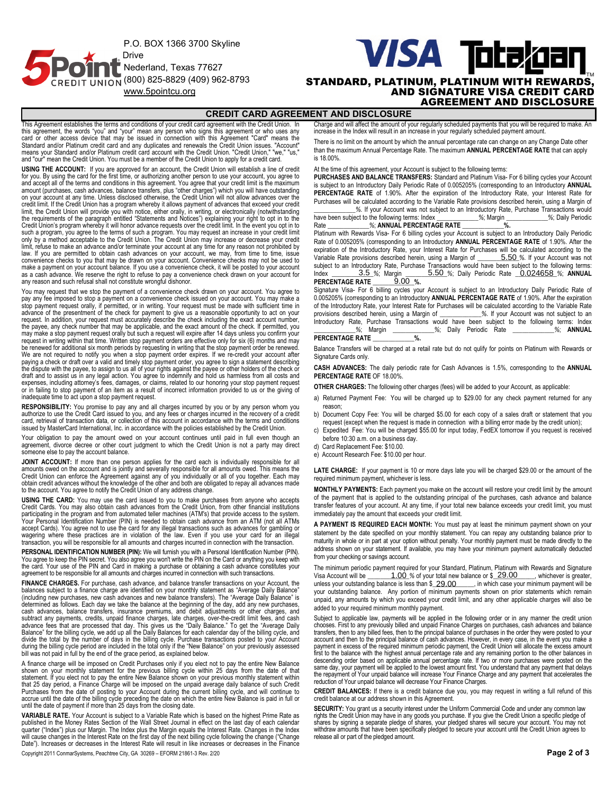P.O. BOX 1366 3700 Skyline Drive Nederland, Texas 77627 **ENDIT UNION (800) 825-8829 (409) 962-8793** 

# **VISA Totakoan** (800) 825-8829 (409) 962-8793 **STANDARD, PLATINUM, PLATINUM WITH REWARDS.**<br>**AND SIGNATURE VISA CREDIT CARD** AND SIGNATURE VISA CREDIT CARD

AGREEMENT AND DISCLOSURE

#### **CREDIT CARD AGREEMENT AND DISCLOSURE**

This Agreement establishes the terms and conditions of your credit card agreement with the Credit Union. In this agreement, the words "you" and "your" mean any person who signs this agreement or who uses any<br>card or other access device that may be issued in connection with this Agreement "Card" means the<br>Standard and/or Platinum

**USING THE ACCOUNT:** If you are approved for an account, the Credit Union will establish a line of credit for you. By using the card for the first time, or authorizing another person to use your account, you agree to<br>and accept all of the terms and conditions in this agreement. You agree that your credit limit is the maximum<br>a on your account at any time. Unless disclosed otherwise, the Credit Union will not allow advances over the<br>credit limit. If the Credit Union has a program whereby it allows payment of advances that exceed your credit<br>limit the requirements of the paragraph entitled "Statements and Notices") explaining your right to opt in to the Credit Union's program whereby it will honor advance requests over the credit limit. In the event you opt in to such a program, you agree to the terms of such a program. You may request an increase in your credit limit only by a method acceptable to the Credit Union. The Credit Union may increase or decrease your credit limit, refuse to make an advance and/or terminate your account at any time for any reason not prohibited by law. If you are permitted to obtain cash advances on your account, we may, from time to time, issue convenience checks to you that may be drawn on your account. Convenience checks may not be used to<br>make a payment on your account balance. If you use a convenience check, it will be posted to your account<br>as a cash advance any reason and such refusal shall not constitute wrongful dishonor.

You may request that we stop the payment of a convenience check drawn on your account. You agree to pay any fee imposed to stop a payment on a convenience check issued on your account. You may make a<br>stop payment request orally, if permitted, or in writing. Your request must be made with sufficient time in<br>advance of the the payee, any check number that may be applicable, and the exact amount of the check. If permitted, you may make a stop payment request orally but such a request will expire after 14 days unless you confirm your request in writing within that time. Written stop payment orders are effective only for six (6) months and may be renewed for additional six month periods by requesting in writing that the stop payment order be renewed.<br>We are not required to notify you when a stop payment order expires. If we re-credit your account after<br>paying a expenses, including attorney's fees, damages, or claims, related to our honoring your stop payment request or in failing to stop payment of an item as a result of incorrect information provided to us or the giving of inadequate time to act upon a stop payment request.

**RESPONSIBILITY:** You promise to pay any and all charges incurred by you or by any person whom you authorize to use the Credit Card issued to you, and any fees or charges incurred in the recovery of a credit card, retrieval of transaction data, or collection of this account in accordance with the terms and conditions issued by MasterCard International, Inc. in accordance with the policies established by the Credit Union.

Your obligation to pay the amount owed on your account continues until paid in full even though an agreement, divorce decree or other court judgment to which the Credit Union is not a party may direct someone else to pay the account balance.

**JOINT ACCOUNT:** If more than one person applies for the card each is individually responsible for all<br>amounts owed on the account and is jointly and severally responsible for all amounts owed. This means the<br>Credit Union obtain credit advances without the knowledge of the other and both are obligated to repay all advances made to the account. You agree to notify the Credit Union of any address change.

**USING THE CARD:** You may use the card issued to you to make purchases from anyone who accepts Credit Cards. You may also obtain cash advances from the Credit Union, from other financial institutions<br>participating in the program and from automated teller machines (ATM's) that provide access to the system.<br>Your Perso accept Cards). You agree not to use the card for any illegal transactions such as advances for gambling or<br>wagering where these practices are in violation of the law. Even if you use your card for an illeg

**PERSONAL IDENTIFICATION NUMBER (PIN):** We will furnish you with a Personal Identification Number (PIN).<br>You agree to keep the PIN secret. You also agree you won't write the PIN on the Card or anything you keep with<br>the ca agreement to be responsible for all amounts and charges incurred in connection with such transactions.

**FINANCE CHARGES.** For purchase, cash advance, and balance transfer transactions on your Account, the balances subject to a finance charge are identified on your monthly statement as "Average Daily Balance" (including new purchases, new cash advances and new balance transfers). The "Average Daily Balance" is determined as follows. Each day we take the balance at the beginning of the day, add any new purchases, cash advances, balance transfers, insurance premiums, and debit adjustments or other charges, and subtract any payments, credits, unpaid finance charges, late charges, over-the-credit limit fees, and cash<br>advance fees that are processed that day. This gives us the "Daily Balance." To get the "Average Daily<br>Balance" for divide the total by the number of days in the billing cycle. Purchase transactions posted to your Account<br>during the billing cycle period are included in the total only if the "New Balance" on your previously assessed<br>bill

A finance charge will be imposed on Credit Purchases only if you elect not to pay the entire New Balance<br>shown on your monthly statement for the previous billing cycle within 25 days from the date of that<br>statement. If you that 25 day period, a Finance Charge will be imposed on the unpaid average daily balance of such Credit<br>Purchases from the date of posting to your Account during the current billing cycle, and will continue to<br>accrue until until the date of payment if more than 25 days from the closing date.

**VARIABLE RATE.** Your Account is subject to a Variable Rate which is based on the highest Prime Rate as published in the Money Rates Section of the Wall Street Journal in effect on the last day of each calendar quarter ("Index") plus our Margin. The Index plus the Margin equals the Interest Rate. Changes in the Index<br>will cause changes in the Interest Rate on the first day of the next billing cycle following the change ("Change<br>D

Copyright 2011 ConmarSystems, Peachtree City, GA 30269 – EFORM 21861-3 Rev. 2/20 **Page 2 of 3**

Charge and will affect the amount of your regularly scheduled payments that you will be required to make. An increase in the Index will result in an increase in your regularly scheduled payment amount.

There is no limit on the amount by which the annual percentage rate can change on any Change Date other than the maximum Annual Percentage Rate. The maximum **ANNUAL PERCENTAGE RATE** that can apply is 18.00%.

At the time of this agreement, your Account is subject to the following terms:

**PURCHASES AND BALANCE TRANSFERS:** Standard and Platinum Visa- For 6 billing cycles your Account is subject to an Introductory Daily Periodic Rate of 0.005205% (corresponding to an Introductory **ANNUAL**  PERCENTAGE RATE of 1.90%. After the expiration of the Introductory Rate, your Interest Rate for Purchases will be calculated according to the Variable Rate provisions described herein, using a Margin of

*\_\_\_\_\_\_\_\_\_\_\_\_\_%*. If your Account was not subject to an Introductory Rate, Purchase Transactions would have been subject to the following terms: Index **\_\_\_\_\_\_\_\_\_\_\_\_%**; Margin **\_\_\_\_\_\_\_\_\_\_\_\_\_%**; Daily Periodic<br>Rate **W. ANNIIAI PERCENTAGE RATE %** Rate *\_\_\_\_\_\_\_\_\_\_\_\_\_%*; **ANNUAL PERCENTAGE RATE** *\_\_\_\_\_\_\_\_\_\_\_\_\_***%.**

Platinum with Rewards Visa- For 6 billing cycles your Account is subject to an Introductory Daily Periodic Rate of 0.005205% (corresponding to an Introductory **ANNUAL PERCENTAGE RATE** of 1.90%. After the expiration of the Introductory Rate, your Interest Rate for Purchases will be calculated according to the Variable Rate provisions described herein, using a Margin of \_ subject to an Introductory Rate, Purchase Transactions would have been subject to the following terms: Index \_\_\_\_\_\_\_\_\_\_3.5\_%; Margin \_\_\_\_\_\_\_\_5.50\_%; Daily Periodic Rate <u>\_\_0.024658\_</u>%; **ANNUAL**<br>PERCENTAGE RATE \_\_\_\_\_\_\_\_9.00\_%. **PERCENTAGE RATE**  $\begin{array}{r} 9.00 \text{ %} \\ -2.00 \text{ %} \end{array}$ 5.50 %. If your Account was not 3.5 %; Margin

Signature Visa- For 6 billing cycles your Account is subject to an Introductory Daily Periodic Rate of 0.005205% (corresponding to an Introductory **ANNUAL PERCENTAGE RATE** of 1.90%. After the expiration of the Introductory Rate, your Interest Rate for Purchases will be calculated according to the Variable Rate<br>provisions described herein, using a Margin of \_\_\_\_\_\_\_\_\_%. If your Account was not subject to an provisions described herein, using a Margin of  $\_\_$ Introductory Rate, Purchase Transactions would have been subject to the following terms: Index *y*<sub>6</sub>. Daily Periodic Rate *\_\_* **PERCENTAGE RATE** *\_\_\_\_\_\_\_\_\_\_\_\_\_***%.**

Balance Transfers will be charged at a retail rate but do not qulify for points on Platinum with Rewards or Signature Cards only.

**CASH ADVANCES:** The daily periodic rate for Cash Advances is 1.5%, corresponding to the **ANNUAL PERCENTAGE RATE** OF 18.00%.

**OTHER CHARGES:** The following other charges (fees) will be added to your Account, as applicable:

- a) Returned Payment Fee: You will be charged up to \$29.00 for any check payment returned for any reason;
- b) Document Copy Fee: You will be charged \$5.00 for each copy of a sales draft or statement that you request (except when the request is made in connection with a billing error made by the credit union);
- Expedited Fee: You will be charged \$55.00 for input today, FedEX tomorrow if you request is received before 10:30 a.m. on a business day.
- d) Card Replacement Fee: \$10.00.
- e) Account Research Fee: \$10.00 per hour.

LATE CHARGE: If your payment is 10 or more days late you will be charged \$29.00 or the amount of the required minimum payment, whichever is less.

**MONTHLY PAYMENTS:** Each payment you make on the account will restore your credit limit by the amount of the payment that is applied to the outstanding principal of the purchases, cash advance and balance transfer features of your account. At any time, if your total new balance exceeds your credit limit, you must immediately pay the amount that exceeds your credit limit.

**A PAYMENT IS REQUIRED EACH MONTH:** You must pay at least the minimum payment shown on your statement by the date specified on your monthly statement. You can repay any outstanding balance prior to maturity in whole or in part at your option without penalty. Your monthly payment must be made directly to the address shown on your statement. If available, you may have your minimum payment automatically deducted from your checking or savings account.

The minimum periodic payment required for your Standard, Platinum, Platinum with Rewards and Signature<br>Visa Account will be \_\_\_\_\_\_\_\_1.OO\_% of your total new balance or \$\_\_29.OO\_\_\_\_\_\_, whichever is greater,<br>unless your outs unless your outstanding balance is less than \$\_29.00 \_\_\_\_\_, in which case your minimum payment will be your outstanding balance. Any portion of minimum payments shown on prior statements which remain unpaid, any amounts by which you exceed your credit limit, and any other applicable charges will also be added to your required minimum monthly payment.

Subject to applicable law, payments will be applied in the following order or in any manner the credit union<br>chooses. First to any previously billed and unpaid Finance Charges on purchases, cash advances and balance<br>transf account and then to the principal balance of cash advances. However, in every case, in the event you make a<br>payment in excess of the required minimum periodic payment, the Credit Union will allocate the excess amount<br>first descending order based on applicable annual percentage rate. If two or more purchases were posted on the<br>same day, your payment will be applied to the lowest amount first. You understand that any payment that delays<br>the re reduction of Your unpaid balance will decrease Your Finance Charges.

**CREDIT BALANCES:** If there is a credit balance due you, you may request in writing a full refund of this credit balance at our address shown in this Agreement.

**SECURITY:** You grant us a security interest under the Uniform Commercial Code and under any common law rights the Credit Union may have in any goods you purchase. If you give the Credit Union a specific pledge of shares by signing a separate pledge of shares, your pledged shares will secure your account. You may not withdraw amounts that have been specifically pledged to secure your account until the Credit Union agrees to release all or part of the pledged amount.